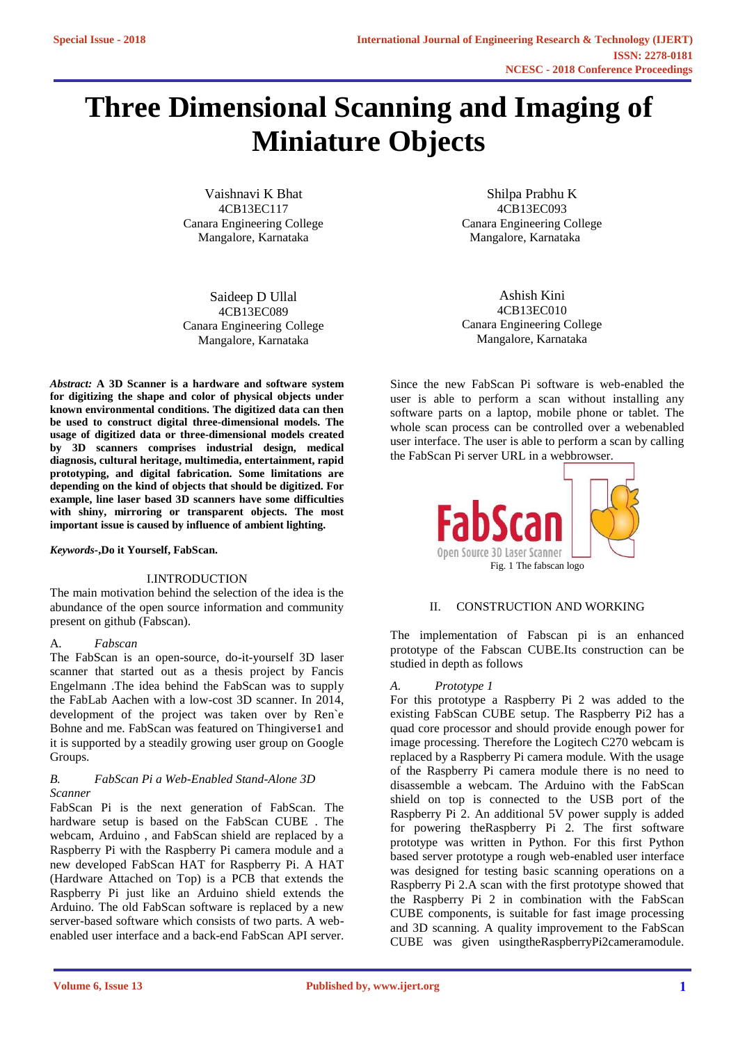# **Three Dimensional Scanning and Imaging of Miniature Objects**

Vaishnavi K Bhat Shilpa Prabhu K Canara Engineering College Canara Engineering College Mangalore, Karnataka

Saideep D Ullal 4CB13EC089 Canara Engineering College Mangalore, Karnataka

*Abstract:* **A 3D Scanner is a hardware and software system for digitizing the shape and color of physical objects under known environmental conditions. The digitized data can then be used to construct digital three-dimensional models. The usage of digitized data or three-dimensional models created by 3D scanners comprises industrial design, medical diagnosis, cultural heritage, multimedia, entertainment, rapid prototyping, and digital fabrication. Some limitations are depending on the kind of objects that should be digitized. For example, line laser based 3D scanners have some difficulties with shiny, mirroring or transparent objects. The most important issue is caused by influence of ambient lighting.**

*Keywords-***,Do it Yourself, FabScan.**

# I.INTRODUCTION

The main motivation behind the selection of the idea is the abundance of the open source information and community present on github (Fabscan).

# A. *Fabscan*

The FabScan is an open-source, do-it-yourself 3D laser scanner that started out as a thesis project by Fancis Engelmann .The idea behind the FabScan was to supply the FabLab Aachen with a low-cost 3D scanner. In 2014, development of the project was taken over by Ren`e Bohne and me. FabScan was featured on Thingiverse1 and it is supported by a steadily growing user group on Google Groups.

# *B. FabScan Pi a Web-Enabled Stand-Alone 3D Scanner*

FabScan Pi is the next generation of FabScan. The hardware setup is based on the FabScan CUBE . The webcam, Arduino , and FabScan shield are replaced by a Raspberry Pi with the Raspberry Pi camera module and a new developed FabScan HAT for Raspberry Pi. A HAT (Hardware Attached on Top) is a PCB that extends the Raspberry Pi just like an Arduino shield extends the Arduino. The old FabScan software is replaced by a new server-based software which consists of two parts. A webenabled user interface and a back-end FabScan API server.

4CB13EC117<br>
Engineering College Canara Engineering College Canara Engineering College

Ashish Kini 4CB13EC010 Canara Engineering College Mangalore, Karnataka

Since the new FabScan Pi software is web-enabled the user is able to perform a scan without installing any software parts on a laptop, mobile phone or tablet. The whole scan process can be controlled over a webenabled user interface. The user is able to perform a scan by calling the FabScan Pi server URL in a webbrowser.



# II. CONSTRUCTION AND WORKING

The implementation of Fabscan pi is an enhanced prototype of the Fabscan CUBE.Its construction can be studied in depth as follows

# *A. Prototype 1*

For this prototype a Raspberry Pi 2 was added to the existing FabScan CUBE setup. The Raspberry Pi2 has a quad core processor and should provide enough power for image processing. Therefore the Logitech C270 webcam is replaced by a Raspberry Pi camera module. With the usage of the Raspberry Pi camera module there is no need to disassemble a webcam. The Arduino with the FabScan shield on top is connected to the USB port of the Raspberry Pi 2. An additional 5V power supply is added for powering theRaspberry Pi 2. The first software prototype was written in Python. For this first Python based server prototype a rough web-enabled user interface was designed for testing basic scanning operations on a Raspberry Pi 2.A scan with the first prototype showed that the Raspberry Pi 2 in combination with the FabScan CUBE components, is suitable for fast image processing and 3D scanning. A quality improvement to the FabScan CUBE was given usingtheRaspberryPi2cameramodule.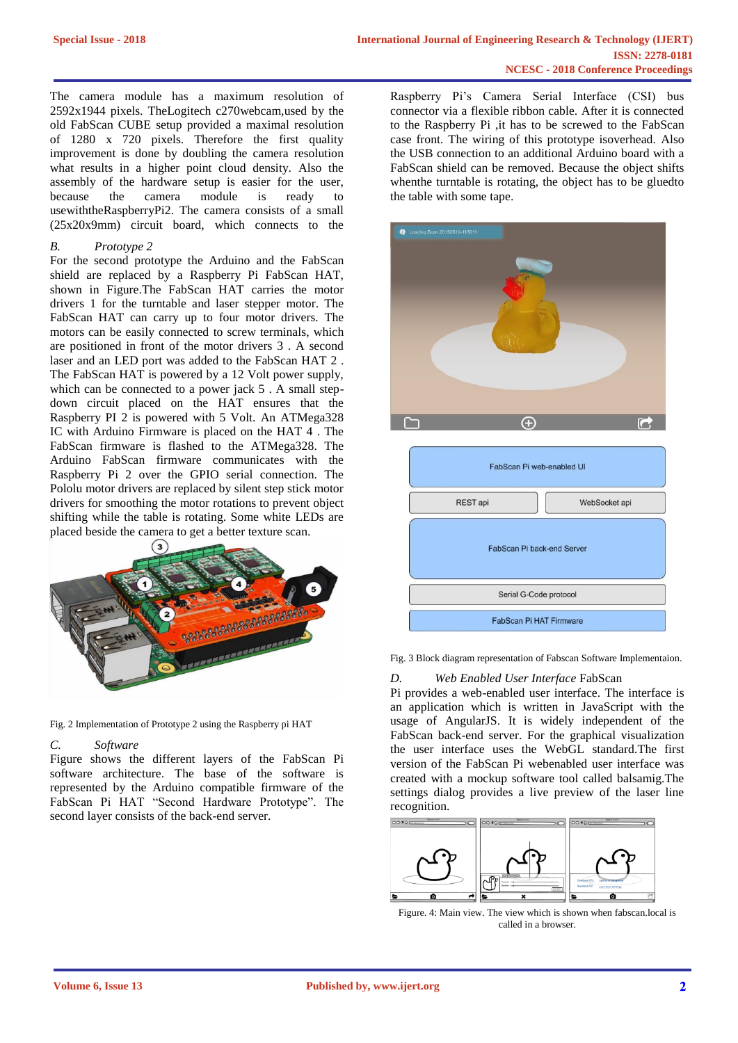The camera module has a maximum resolution of 2592x1944 pixels. TheLogitech c270webcam,used by the old FabScan CUBE setup provided a maximal resolution of 1280 x 720 pixels. Therefore the first quality improvement is done by doubling the camera resolution what results in a higher point cloud density. Also the assembly of the hardware setup is easier for the user,<br>because the camera module is ready to module is ready to usewiththeRaspberryPi2. The camera consists of a small (25x20x9mm) circuit board, which connects to the

# *B. Prototype 2*

For the second prototype the Arduino and the FabScan shield are replaced by a Raspberry Pi FabScan HAT, shown in Figure.The FabScan HAT carries the motor drivers 1 for the turntable and laser stepper motor. The FabScan HAT can carry up to four motor drivers. The motors can be easily connected to screw terminals, which are positioned in front of the motor drivers 3 . A second laser and an LED port was added to the FabScan HAT 2 . The FabScan HAT is powered by a 12 Volt power supply, which can be connected to a power jack 5. A small stepdown circuit placed on the HAT ensures that the Raspberry PI 2 is powered with 5 Volt. An ATMega328 IC with Arduino Firmware is placed on the HAT 4 . The FabScan firmware is flashed to the ATMega328. The Arduino FabScan firmware communicates with the Raspberry Pi 2 over the GPIO serial connection. The Pololu motor drivers are replaced by silent step stick motor drivers for smoothing the motor rotations to prevent object shifting while the table is rotating. Some white LEDs are placed beside the camera to get a better texture scan.



Fig. 2 Implementation of Prototype 2 using the Raspberry pi HAT

# *C. Software*

Figure shows the different layers of the FabScan Pi software architecture. The base of the software is represented by the Arduino compatible firmware of the FabScan Pi HAT "Second Hardware Prototype". The second layer consists of the back-end server.

Raspberry Pi's Camera Serial Interface (CSI) bus connector via a flexible ribbon cable. After it is connected to the Raspberry Pi ,it has to be screwed to the FabScan case front. The wiring of this prototype isoverhead. Also the USB connection to an additional Arduino board with a FabScan shield can be removed. Because the object shifts whenthe turntable is rotating, the object has to be gluedto the table with some tape.



| FabScan Pi web-enabled UI  |               |
|----------------------------|---------------|
| REST api                   | WebSocket api |
| FabScan Pi back-end Server |               |
| Serial G-Code protocol     |               |
| FabScan Pi HAT Firmware    |               |

Fig. 3 Block diagram representation of Fabscan Software Implementaion.

# *D. Web Enabled User Interface* FabScan

Pi provides a web-enabled user interface. The interface is an application which is written in JavaScript with the usage of AngularJS. It is widely independent of the FabScan back-end server. For the graphical visualization the user interface uses the WebGL standard.The first version of the FabScan Pi webenabled user interface was created with a mockup software tool called balsamig.The settings dialog provides a live preview of the laser line recognition.



Figure. 4: Main view. The view which is shown when fabscan.local is called in a browser.